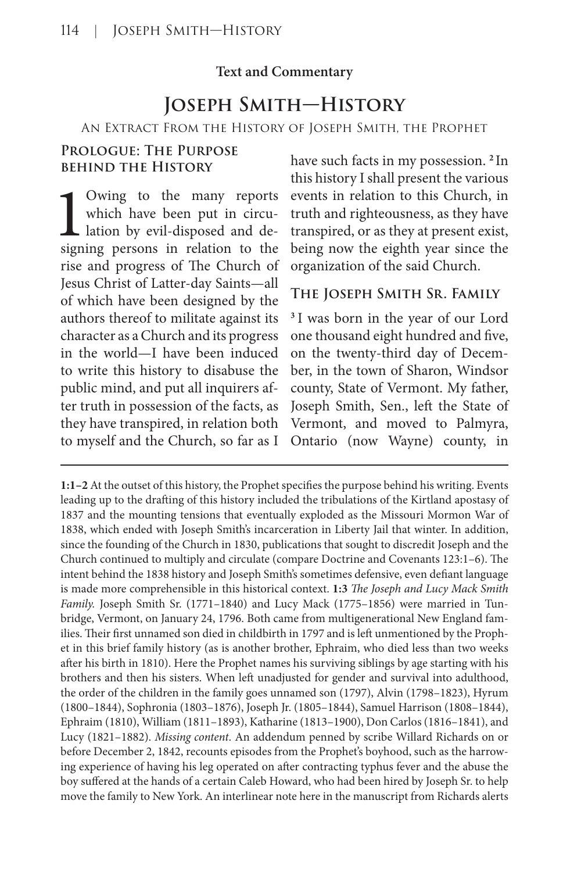## **Text and Commentary**

# **Joseph Smith—History**

An Extract From the History of Joseph Smith, the Prophet

## **Prologue: The Purpose behind the History**

Owing to the many reports<br>which have been put in circu-<br>lation by evil-disposed and de-<br>signing persons in relation to the Owing to the many reports which have been put in circulation by evil-disposed and derise and progress of The Church of Jesus Christ of Latter-day Saints—all of which have been designed by the authors thereof to militate against its character as a Church and its progress in the world—I have been induced to write this history to disabuse the public mind, and put all inquirers after truth in possession of the facts, as they have transpired, in relation both to myself and the Church, so far as I

have such facts in my possession. **<sup>2</sup>**In this history I shall present the various events in relation to this Church, in truth and righteousness, as they have transpired, or as they at present exist, being now the eighth year since the organization of the said Church.

#### **The Joseph Smith Sr. Family**

**<sup>3</sup>** I was born in the year of our Lord one thousand eight hundred and five, on the twenty-third day of December, in the town of Sharon, Windsor county, State of Vermont. My father, Joseph Smith, Sen., left the State of Vermont, and moved to Palmyra, Ontario (now Wayne) county, in

**1:1–2** At the outset of this history, the Prophet specifies the purpose behind his writing. Events leading up to the drafting of this history included the tribulations of the Kirtland apostasy of 1837 and the mounting tensions that eventually exploded as the Missouri Mormon War of 1838, which ended with Joseph Smith's incarceration in Liberty Jail that winter. In addition, since the founding of the Church in 1830, publications that sought to discredit Joseph and the Church continued to multiply and circulate (compare Doctrine and Covenants 123:1–6). The intent behind the 1838 history and Joseph Smith's sometimes defensive, even defiant language is made more comprehensible in this historical context. **1:3** *The Joseph and Lucy Mack Smith Family.* Joseph Smith Sr. (1771–1840) and Lucy Mack (1775–1856) were married in Tunbridge, Vermont, on January 24, 1796. Both came from multigenerational New England families. Their first unnamed son died in childbirth in 1797 and is left unmentioned by the Prophet in this brief family history (as is another brother, Ephraim, who died less than two weeks after his birth in 1810). Here the Prophet names his surviving siblings by age starting with his brothers and then his sisters. When left unadjusted for gender and survival into adulthood, the order of the children in the family goes unnamed son (1797), Alvin (1798–1823), Hyrum (1800–1844), Sophronia (1803–1876), Joseph Jr. (1805–1844), Samuel Harrison (1808–1844), Ephraim (1810), William (1811–1893), Katharine (1813–1900), Don Carlos (1816–1841), and Lucy (1821–1882). *Missing content*. An addendum penned by scribe Willard Richards on or before December 2, 1842, recounts episodes from the Prophet's boyhood, such as the harrowing experience of having his leg operated on after contracting typhus fever and the abuse the boy suffered at the hands of a certain Caleb Howard, who had been hired by Joseph Sr. to help move the family to New York. An interlinear note here in the manuscript from Richards alerts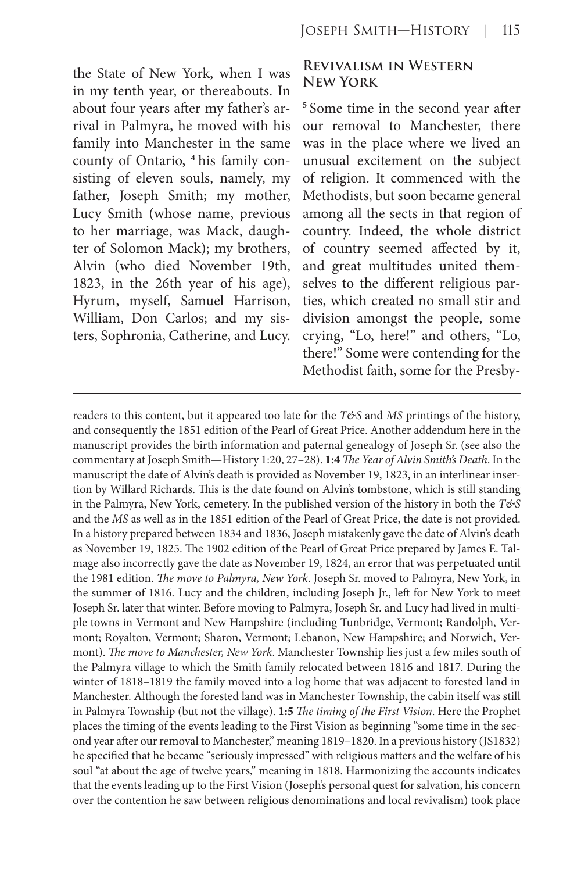the State of New York, when I was in my tenth year, or thereabouts. In about four years after my father's arrival in Palmyra, he moved with his family into Manchester in the same county of Ontario, **<sup>4</sup>** his family consisting of eleven souls, namely, my father, Joseph Smith; my mother, Lucy Smith (whose name, previous to her marriage, was Mack, daughter of Solomon Mack); my brothers, Alvin (who died November 19th, 1823, in the 26th year of his age), Hyrum, myself, Samuel Harrison, William, Don Carlos; and my sisters, Sophronia, Catherine, and Lucy.

#### **Revivalism in Western New York**

**<sup>5</sup>** Some time in the second year after our removal to Manchester, there was in the place where we lived an unusual excitement on the subject of religion. It commenced with the Methodists, but soon became general among all the sects in that region of country. Indeed, the whole district of country seemed affected by it, and great multitudes united themselves to the different religious parties, which created no small stir and division amongst the people, some crying, "Lo, here!" and others, "Lo, there!" Some were contending for the Methodist faith, some for the Presby-

readers to this content, but it appeared too late for the *T&S* and *MS* printings of the history, and consequently the 1851 edition of the Pearl of Great Price. Another addendum here in the manuscript provides the birth information and paternal genealogy of Joseph Sr. (see also the commentary at Joseph Smith—History 1:20, 27–28). **1:4** *The Year of Alvin Smith's Death*. In the manuscript the date of Alvin's death is provided as November 19, 1823, in an interlinear insertion by Willard Richards. This is the date found on Alvin's tombstone, which is still standing in the Palmyra, New York, cemetery. In the published version of the history in both the *T&S* and the *MS* as well as in the 1851 edition of the Pearl of Great Price, the date is not provided. In a history prepared between 1834 and 1836, Joseph mistakenly gave the date of Alvin's death as November 19, 1825. The 1902 edition of the Pearl of Great Price prepared by James E. Talmage also incorrectly gave the date as November 19, 1824, an error that was perpetuated until the 1981 edition. *The move to Palmyra, New York*. Joseph Sr. moved to Palmyra, New York, in the summer of 1816. Lucy and the children, including Joseph Jr., left for New York to meet Joseph Sr. later that winter. Before moving to Palmyra, Joseph Sr. and Lucy had lived in multiple towns in Vermont and New Hampshire (including Tunbridge, Vermont; Randolph, Vermont; Royalton, Vermont; Sharon, Vermont; Lebanon, New Hampshire; and Norwich, Vermont). *The move to Manchester, New York*. Manchester Township lies just a few miles south of the Palmyra village to which the Smith family relocated between 1816 and 1817. During the winter of 1818–1819 the family moved into a log home that was adjacent to forested land in Manchester. Although the forested land was in Manchester Township, the cabin itself was still in Palmyra Township (but not the village). **1:5** *The timing of the First Vision*. Here the Prophet places the timing of the events leading to the First Vision as beginning "some time in the second year after our removal to Manchester," meaning 1819–1820. In a previous history (JS1832) he specified that he became "seriously impressed" with religious matters and the welfare of his soul "at about the age of twelve years," meaning in 1818. Harmonizing the accounts indicates that the events leading up to the First Vision (Joseph's personal quest for salvation, his concern over the contention he saw between religious denominations and local revivalism) took place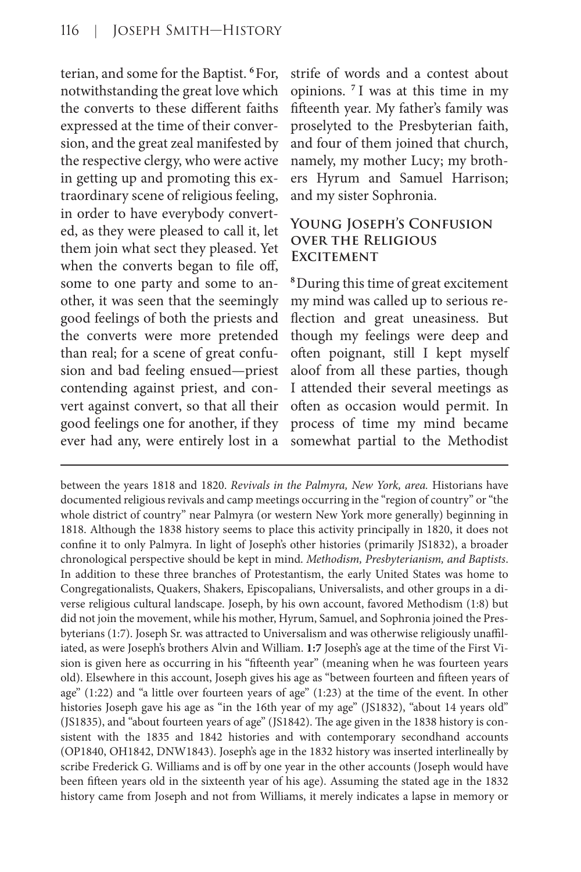terian, and some for the Baptist. **<sup>6</sup>**For, notwithstanding the great love which the converts to these different faiths expressed at the time of their conversion, and the great zeal manifested by the respective clergy, who were active in getting up and promoting this extraordinary scene of religious feeling, in order to have everybody converted, as they were pleased to call it, let them join what sect they pleased. Yet when the converts began to file off, some to one party and some to another, it was seen that the seemingly good feelings of both the priests and the converts were more pretended than real; for a scene of great confusion and bad feeling ensued—priest contending against priest, and convert against convert, so that all their good feelings one for another, if they ever had any, were entirely lost in a strife of words and a contest about opinions. **<sup>7</sup>** I was at this time in my fifteenth year. My father's family was proselyted to the Presbyterian faith, and four of them joined that church, namely, my mother Lucy; my brothers Hyrum and Samuel Harrison; and my sister Sophronia.

## **Young Joseph's Confusion over the Religious EXCITEMENT**

**<sup>8</sup>**During this time of great excitement my mind was called up to serious reflection and great uneasiness. But though my feelings were deep and often poignant, still I kept myself aloof from all these parties, though I attended their several meetings as often as occasion would permit. In process of time my mind became somewhat partial to the Methodist

between the years 1818 and 1820. *Revivals in the Palmyra, New York, area.* Historians have documented religious revivals and camp meetings occurring in the "region of country" or "the whole district of country" near Palmyra (or western New York more generally) beginning in 1818. Although the 1838 history seems to place this activity principally in 1820, it does not confine it to only Palmyra. In light of Joseph's other histories (primarily JS1832), a broader chronological perspective should be kept in mind. *Methodism, Presbyterianism, and Baptists*. In addition to these three branches of Protestantism, the early United States was home to Congregationalists, Quakers, Shakers, Episcopalians, Universalists, and other groups in a diverse religious cultural landscape. Joseph, by his own account, favored Methodism (1:8) but did not join the movement, while his mother, Hyrum, Samuel, and Sophronia joined the Presbyterians (1:7). Joseph Sr. was attracted to Universalism and was otherwise religiously unaffiliated, as were Joseph's brothers Alvin and William. **1:7** Joseph's age at the time of the First Vision is given here as occurring in his "fifteenth year" (meaning when he was fourteen years old). Elsewhere in this account, Joseph gives his age as "between fourteen and fifteen years of age" (1:22) and "a little over fourteen years of age" (1:23) at the time of the event. In other histories Joseph gave his age as "in the 16th year of my age" (JS1832), "about 14 years old" (JS1835), and "about fourteen years of age" (JS1842). The age given in the 1838 history is consistent with the 1835 and 1842 histories and with contemporary secondhand accounts (OP1840, OH1842, DNW1843). Joseph's age in the 1832 history was inserted interlineally by scribe Frederick G. Williams and is off by one year in the other accounts (Joseph would have been fifteen years old in the sixteenth year of his age). Assuming the stated age in the 1832 history came from Joseph and not from Williams, it merely indicates a lapse in memory or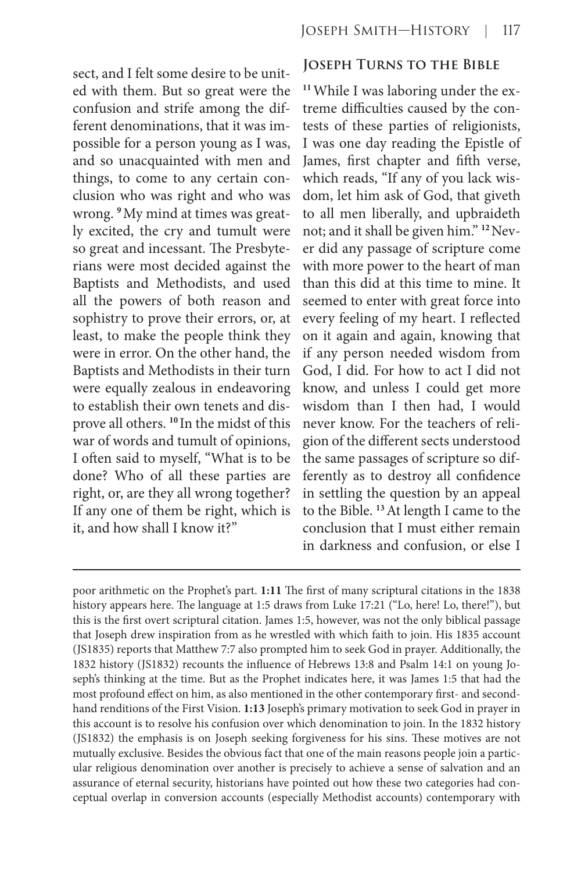sect, and I felt some desire to be united with them. But so great were the confusion and strife among the different denominations, that it was impossible for a person young as I was, and so unacquainted with men and things, to come to any certain conclusion who was right and who was wrong. **9**My mind at times was greatly excited, the cry and tumult were so great and incessant. The Presbyterians were most decided against the Baptists and Methodists, and used all the powers of both reason and sophistry to prove their errors, or, at least, to make the people think they were in error. On the other hand, the Baptists and Methodists in their turn were equally zealous in endeavoring to establish their own tenets and disprove all others. **<sup>10</sup>** In the midst of this war of words and tumult of opinions, I often said to myself, "What is to be done? Who of all these parties are right, or, are they all wrong together? If any one of them be right, which is it, and how shall I know it?"

#### **Joseph Turns to the Bible**

**11**While I was laboring under the extreme difficulties caused by the contests of these parties of religionists, I was one day reading the Epistle of James, first chapter and fifth verse, which reads, "If any of you lack wisdom, let him ask of God, that giveth to all men liberally, and upbraideth not; and it shall be given him." **12**Never did any passage of scripture come with more power to the heart of man than this did at this time to mine. It seemed to enter with great force into every feeling of my heart. I reflected on it again and again, knowing that if any person needed wisdom from God, I did. For how to act I did not know, and unless I could get more wisdom than I then had, I would never know. For the teachers of religion of the different sects understood the same passages of scripture so differently as to destroy all confidence in settling the question by an appeal to the Bible. **<sup>13</sup>**At length I came to the conclusion that I must either remain in darkness and confusion, or else I

poor arithmetic on the Prophet's part. **1:11** The first of many scriptural citations in the 1838 history appears here. The language at 1:5 draws from Luke 17:21 ("Lo, here! Lo, there!"), but this is the first overt scriptural citation. James 1:5, however, was not the only biblical passage that Joseph drew inspiration from as he wrestled with which faith to join. His 1835 account (JS1835) reports that Matthew 7:7 also prompted him to seek God in prayer. Additionally, the 1832 history (JS1832) recounts the influence of Hebrews 13:8 and Psalm 14:1 on young Joseph's thinking at the time. But as the Prophet indicates here, it was James 1:5 that had the most profound effect on him, as also mentioned in the other contemporary first- and secondhand renditions of the First Vision. **1:13** Joseph's primary motivation to seek God in prayer in this account is to resolve his confusion over which denomination to join. In the 1832 history (JS1832) the emphasis is on Joseph seeking forgiveness for his sins. These motives are not mutually exclusive. Besides the obvious fact that one of the main reasons people join a particular religious denomination over another is precisely to achieve a sense of salvation and an assurance of eternal security, historians have pointed out how these two categories had conceptual overlap in conversion accounts (especially Methodist accounts) contemporary with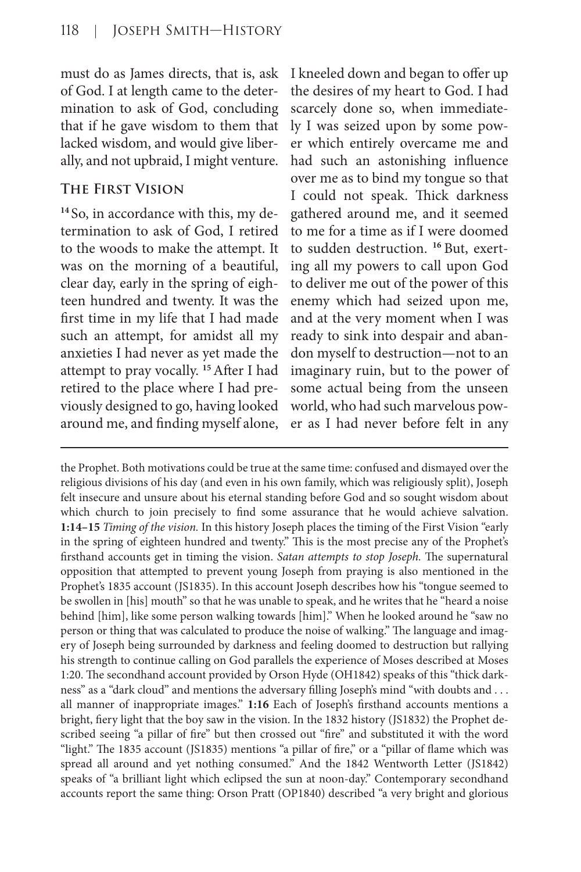must do as James directs, that is, ask of God. I at length came to the determination to ask of God, concluding that if he gave wisdom to them that lacked wisdom, and would give liberally, and not upbraid, I might venture.

# **The First Vision**

**<sup>14</sup>** So, in accordance with this, my determination to ask of God, I retired to the woods to make the attempt. It was on the morning of a beautiful, clear day, early in the spring of eighteen hundred and twenty. It was the first time in my life that I had made such an attempt, for amidst all my anxieties I had never as yet made the attempt to pray vocally. **<sup>15</sup>**After I had retired to the place where I had previously designed to go, having looked around me, and finding myself alone,

I kneeled down and began to offer up the desires of my heart to God. I had scarcely done so, when immediately I was seized upon by some power which entirely overcame me and had such an astonishing influence over me as to bind my tongue so that I could not speak. Thick darkness gathered around me, and it seemed to me for a time as if I were doomed to sudden destruction. **<sup>16</sup>** But, exerting all my powers to call upon God to deliver me out of the power of this enemy which had seized upon me, and at the very moment when I was ready to sink into despair and abandon myself to destruction—not to an imaginary ruin, but to the power of some actual being from the unseen world, who had such marvelous power as I had never before felt in any

the Prophet. Both motivations could be true at the same time: confused and dismayed over the religious divisions of his day (and even in his own family, which was religiously split), Joseph felt insecure and unsure about his eternal standing before God and so sought wisdom about which church to join precisely to find some assurance that he would achieve salvation. **1:14–15** *Timing of the vision.* In this history Joseph places the timing of the First Vision "early in the spring of eighteen hundred and twenty." This is the most precise any of the Prophet's firsthand accounts get in timing the vision. *Satan attempts to stop Joseph.* The supernatural opposition that attempted to prevent young Joseph from praying is also mentioned in the Prophet's 1835 account (JS1835). In this account Joseph describes how his "tongue seemed to be swollen in [his] mouth" so that he was unable to speak, and he writes that he "heard a noise behind [him], like some person walking towards [him]." When he looked around he "saw no person or thing that was calculated to produce the noise of walking." The language and imagery of Joseph being surrounded by darkness and feeling doomed to destruction but rallying his strength to continue calling on God parallels the experience of Moses described at Moses 1:20. The secondhand account provided by Orson Hyde (OH1842) speaks of this "thick darkness" as a "dark cloud" and mentions the adversary filling Joseph's mind "with doubts and . . . all manner of inappropriate images." 1:16 Each of Joseph's firsthand accounts mentions a bright, fiery light that the boy saw in the vision. In the 1832 history (JS1832) the Prophet described seeing "a pillar of fire" but then crossed out "fire" and substituted it with the word "light." The 1835 account (JS1835) mentions "a pillar of fire," or a "pillar of flame which was spread all around and yet nothing consumed." And the 1842 Wentworth Letter (JS1842) speaks of "a brilliant light which eclipsed the sun at noon-day." Contemporary secondhand accounts report the same thing: Orson Pratt (OP1840) described "a very bright and glorious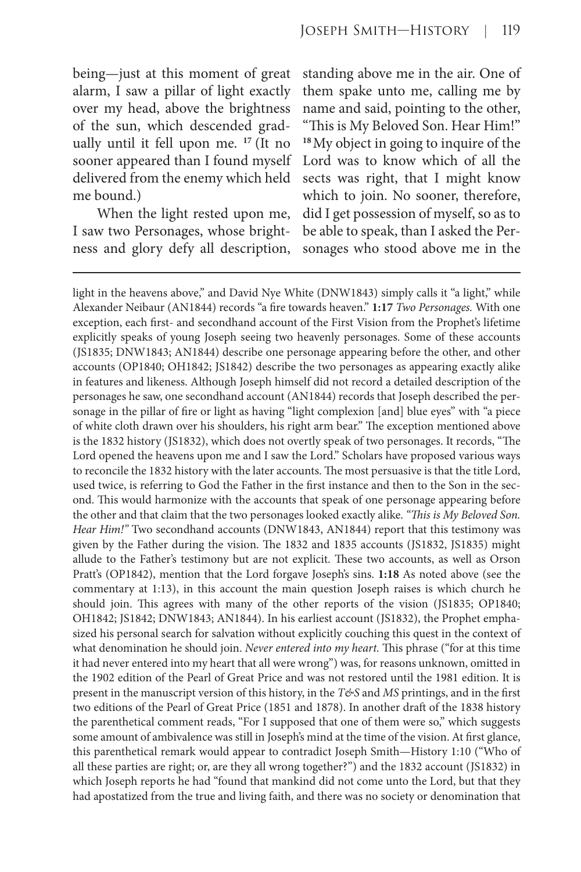being—just at this moment of great alarm, I saw a pillar of light exactly over my head, above the brightness of the sun, which descended gradually until it fell upon me. **<sup>17</sup>** (It no sooner appeared than I found myself delivered from the enemy which held me bound.)

When the light rested upon me, I saw two Personages, whose brightness and glory defy all description, standing above me in the air. One of them spake unto me, calling me by name and said, pointing to the other, "This is My Beloved Son. Hear Him!" **<sup>18</sup>**My object in going to inquire of the Lord was to know which of all the sects was right, that I might know which to join. No sooner, therefore, did I get possession of myself, so as to be able to speak, than I asked the Personages who stood above me in the

light in the heavens above," and David Nye White (DNW1843) simply calls it "a light," while Alexander Neibaur (AN1844) records "a fire towards heaven." **1:17** *Two Personages.* With one exception, each first- and secondhand account of the First Vision from the Prophet's lifetime explicitly speaks of young Joseph seeing two heavenly personages. Some of these accounts (JS1835; DNW1843; AN1844) describe one personage appearing before the other, and other accounts (OP1840; OH1842; JS1842) describe the two personages as appearing exactly alike in features and likeness. Although Joseph himself did not record a detailed description of the personages he saw, one secondhand account (AN1844) records that Joseph described the personage in the pillar of fire or light as having "light complexion [and] blue eyes" with "a piece of white cloth drawn over his shoulders, his right arm bear." The exception mentioned above is the 1832 history (JS1832), which does not overtly speak of two personages. It records, "The Lord opened the heavens upon me and I saw the Lord." Scholars have proposed various ways to reconcile the 1832 history with the later accounts. The most persuasive is that the title Lord, used twice, is referring to God the Father in the first instance and then to the Son in the second. This would harmonize with the accounts that speak of one personage appearing before the other and that claim that the two personages looked exactly alike. *"This is My Beloved Son. Hear Him!"* Two secondhand accounts (DNW1843, AN1844) report that this testimony was given by the Father during the vision. The 1832 and 1835 accounts (JS1832, JS1835) might allude to the Father's testimony but are not explicit. These two accounts, as well as Orson Pratt's (OP1842), mention that the Lord forgave Joseph's sins. **1:18** As noted above (see the commentary at 1:13), in this account the main question Joseph raises is which church he should join. This agrees with many of the other reports of the vision (JS1835; OP1840; OH1842; JS1842; DNW1843; AN1844). In his earliest account (JS1832), the Prophet emphasized his personal search for salvation without explicitly couching this quest in the context of what denomination he should join. *Never entered into my heart.* This phrase ("for at this time it had never entered into my heart that all were wrong") was, for reasons unknown, omitted in the 1902 edition of the Pearl of Great Price and was not restored until the 1981 edition. It is present in the manuscript version of this history, in the *T&S* and *MS* printings, and in the first two editions of the Pearl of Great Price (1851 and 1878). In another draft of the 1838 history the parenthetical comment reads, "For I supposed that one of them were so," which suggests some amount of ambivalence was still in Joseph's mind at the time of the vision. At first glance, this parenthetical remark would appear to contradict Joseph Smith—History 1:10 ("Who of all these parties are right; or, are they all wrong together?") and the 1832 account (JS1832) in which Joseph reports he had "found that mankind did not come unto the Lord, but that they had apostatized from the true and living faith, and there was no society or denomination that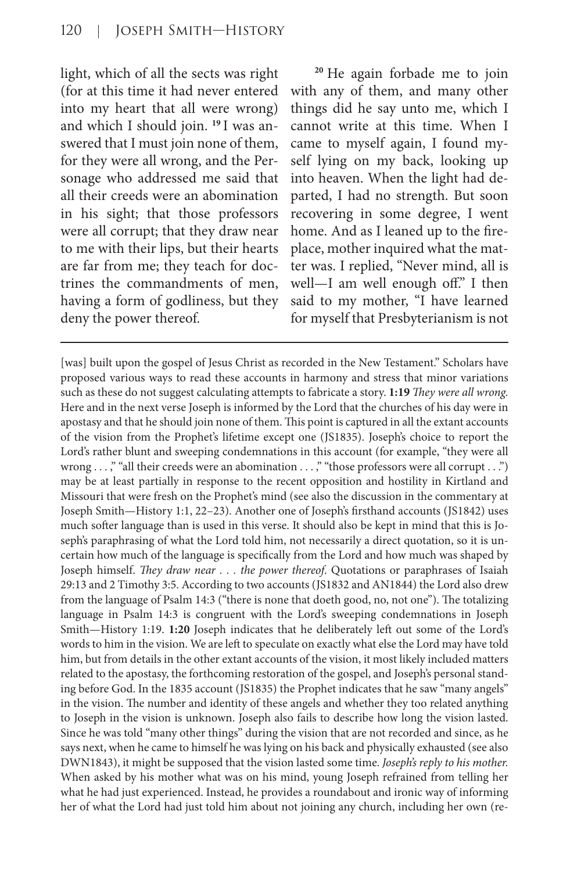light, which of all the sects was right (for at this time it had never entered into my heart that all were wrong) and which I should join. **<sup>19</sup>** I was answered that I must join none of them, for they were all wrong, and the Personage who addressed me said that all their creeds were an abomination in his sight; that those professors were all corrupt; that they draw near to me with their lips, but their hearts are far from me; they teach for doctrines the commandments of men, having a form of godliness, but they deny the power thereof*.*

**<sup>20</sup>** He again forbade me to join with any of them, and many other things did he say unto me, which I cannot write at this time. When I came to myself again, I found myself lying on my back, looking up into heaven. When the light had departed, I had no strength. But soon recovering in some degree, I went home. And as I leaned up to the fireplace, mother inquired what the matter was. I replied, "Never mind, all is well—I am well enough off." I then said to my mother, "I have learned for myself that Presbyterianism is not

[was] built upon the gospel of Jesus Christ as recorded in the New Testament." Scholars have proposed various ways to read these accounts in harmony and stress that minor variations such as these do not suggest calculating attempts to fabricate a story. **1:19** *They were all wrong.* Here and in the next verse Joseph is informed by the Lord that the churches of his day were in apostasy and that he should join none of them. This point is captured in all the extant accounts of the vision from the Prophet's lifetime except one (JS1835). Joseph's choice to report the Lord's rather blunt and sweeping condemnations in this account (for example, "they were all wrong ...," "all their creeds were an abomination ...," "those professors were all corrupt ...") may be at least partially in response to the recent opposition and hostility in Kirtland and Missouri that were fresh on the Prophet's mind (see also the discussion in the commentary at Joseph Smith—History 1:1, 22–23). Another one of Joseph's firsthand accounts (JS1842) uses much softer language than is used in this verse. It should also be kept in mind that this is Joseph's paraphrasing of what the Lord told him, not necessarily a direct quotation, so it is uncertain how much of the language is specifically from the Lord and how much was shaped by Joseph himself. *They draw near . . . the power thereof*. Quotations or paraphrases of Isaiah 29:13 and 2 Timothy 3:5. According to two accounts (JS1832 and AN1844) the Lord also drew from the language of Psalm 14:3 ("there is none that doeth good, no, not one"). The totalizing language in Psalm 14:3 is congruent with the Lord's sweeping condemnations in Joseph Smith—History 1:19. **1:20** Joseph indicates that he deliberately left out some of the Lord's words to him in the vision. We are left to speculate on exactly what else the Lord may have told him, but from details in the other extant accounts of the vision, it most likely included matters related to the apostasy, the forthcoming restoration of the gospel, and Joseph's personal standing before God. In the 1835 account (JS1835) the Prophet indicates that he saw "many angels" in the vision. The number and identity of these angels and whether they too related anything to Joseph in the vision is unknown. Joseph also fails to describe how long the vision lasted. Since he was told "many other things" during the vision that are not recorded and since, as he says next, when he came to himself he was lying on his back and physically exhausted (see also DWN1843), it might be supposed that the vision lasted some time. *Joseph's reply to his mother.* When asked by his mother what was on his mind, young Joseph refrained from telling her what he had just experienced. Instead, he provides a roundabout and ironic way of informing her of what the Lord had just told him about not joining any church, including her own (re-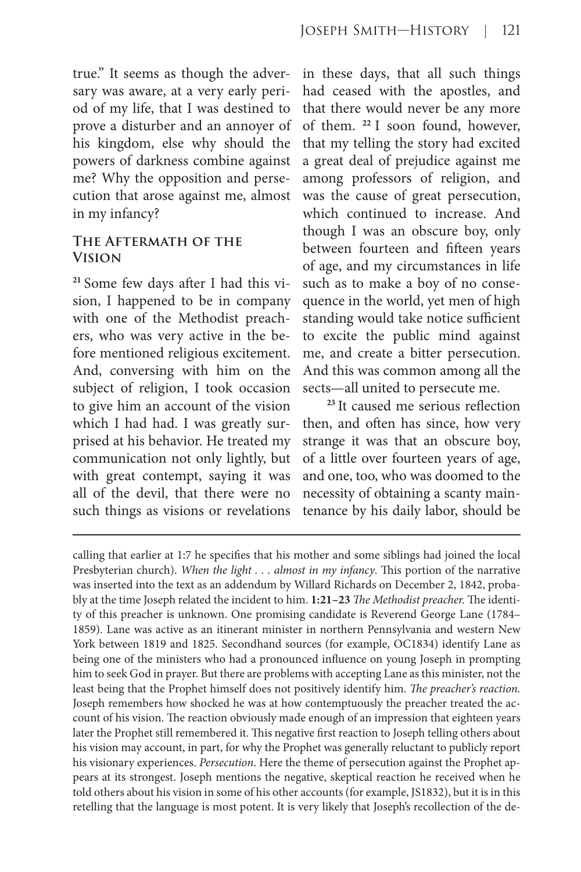true." It seems as though the adversary was aware, at a very early period of my life, that I was destined to prove a disturber and an annoyer of his kingdom, else why should the powers of darkness combine against me? Why the opposition and persecution that arose against me, almost in my infancy?

#### **The Aftermath of the Vision**

**21** Some few days after I had this vision, I happened to be in company with one of the Methodist preachers, who was very active in the before mentioned religious excitement. And, conversing with him on the subject of religion, I took occasion to give him an account of the vision which I had had. I was greatly surprised at his behavior. He treated my communication not only lightly, but with great contempt, saying it was all of the devil, that there were no such things as visions or revelations

in these days, that all such things had ceased with the apostles, and that there would never be any more of them. **<sup>22</sup>**I soon found, however, that my telling the story had excited a great deal of prejudice against me among professors of religion, and was the cause of great persecution, which continued to increase. And though I was an obscure boy, only between fourteen and fifteen years of age, and my circumstances in life such as to make a boy of no consequence in the world, yet men of high standing would take notice sufficient to excite the public mind against me, and create a bitter persecution. And this was common among all the sects—all united to persecute me.

**<sup>23</sup>**It caused me serious reflection then, and often has since, how very strange it was that an obscure boy, of a little over fourteen years of age, and one, too, who was doomed to the necessity of obtaining a scanty maintenance by his daily labor, should be

calling that earlier at 1:7 he specifies that his mother and some siblings had joined the local Presbyterian church). *When the light . . . almost in my infancy*. This portion of the narrative was inserted into the text as an addendum by Willard Richards on December 2, 1842, probably at the time Joseph related the incident to him. **1:21–23** *The Methodist preacher.* The identity of this preacher is unknown. One promising candidate is Reverend George Lane (1784– 1859). Lane was active as an itinerant minister in northern Pennsylvania and western New York between 1819 and 1825. Secondhand sources (for example, OC1834) identify Lane as being one of the ministers who had a pronounced influence on young Joseph in prompting him to seek God in prayer. But there are problems with accepting Lane as this minister, not the least being that the Prophet himself does not positively identify him. *The preacher's reaction.* Joseph remembers how shocked he was at how contemptuously the preacher treated the account of his vision. The reaction obviously made enough of an impression that eighteen years later the Prophet still remembered it. This negative first reaction to Joseph telling others about his vision may account, in part, for why the Prophet was generally reluctant to publicly report his visionary experiences. *Persecution*. Here the theme of persecution against the Prophet appears at its strongest. Joseph mentions the negative, skeptical reaction he received when he told others about his vision in some of his other accounts (for example, JS1832), but it is in this retelling that the language is most potent. It is very likely that Joseph's recollection of the de-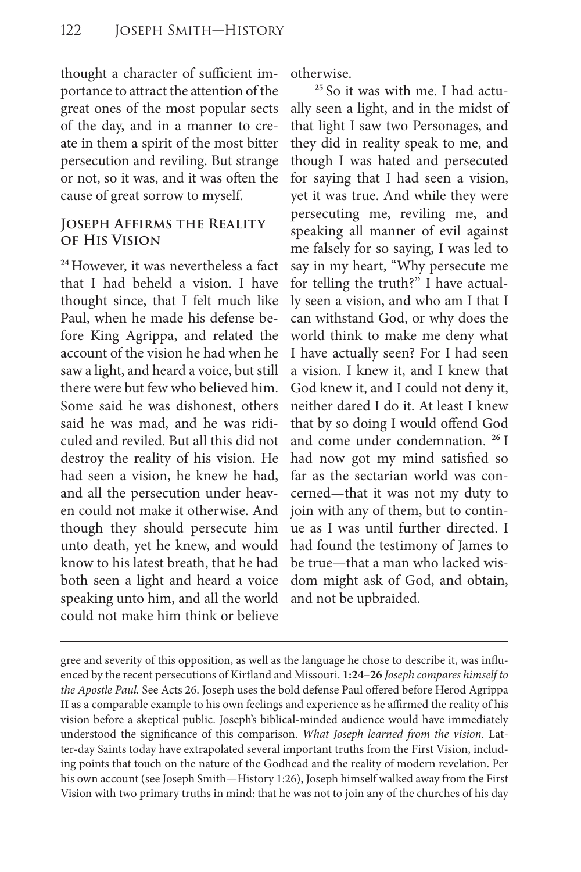thought a character of sufficient importance to attract the attention of the great ones of the most popular sects of the day, and in a manner to create in them a spirit of the most bitter persecution and reviling. But strange or not, so it was, and it was often the cause of great sorrow to myself.

#### **Joseph Affirms the Reality of His Vision**

**<sup>24</sup>**However, it was nevertheless a fact that I had beheld a vision. I have thought since, that I felt much like Paul, when he made his defense before King Agrippa, and related the account of the vision he had when he saw a light, and heard a voice, but still there were but few who believed him. Some said he was dishonest, others said he was mad, and he was ridiculed and reviled. But all this did not destroy the reality of his vision. He had seen a vision, he knew he had, and all the persecution under heaven could not make it otherwise. And though they should persecute him unto death, yet he knew, and would know to his latest breath, that he had both seen a light and heard a voice speaking unto him, and all the world could not make him think or believe otherwise.

**25** So it was with me. I had actually seen a light, and in the midst of that light I saw two Personages, and they did in reality speak to me, and though I was hated and persecuted for saying that I had seen a vision, yet it was true. And while they were persecuting me, reviling me, and speaking all manner of evil against me falsely for so saying, I was led to say in my heart, "Why persecute me for telling the truth?" I have actually seen a vision, and who am I that I can withstand God, or why does the world think to make me deny what I have actually seen? For I had seen a vision. I knew it, and I knew that God knew it, and I could not deny it, neither dared I do it. At least I knew that by so doing I would offend God and come under condemnation. **<sup>26</sup>**I had now got my mind satisfied so far as the sectarian world was concerned—that it was not my duty to join with any of them, but to continue as I was until further directed. I had found the testimony of James to be true—that a man who lacked wisdom might ask of God, and obtain, and not be upbraided.

gree and severity of this opposition, as well as the language he chose to describe it, was influenced by the recent persecutions of Kirtland and Missouri. **1:24–26** *Joseph compares himself to the Apostle Paul.* See Acts 26. Joseph uses the bold defense Paul offered before Herod Agrippa II as a comparable example to his own feelings and experience as he affirmed the reality of his vision before a skeptical public. Joseph's biblical-minded audience would have immediately understood the significance of this comparison. *What Joseph learned from the vision.* Latter-day Saints today have extrapolated several important truths from the First Vision, including points that touch on the nature of the Godhead and the reality of modern revelation. Per his own account (see Joseph Smith—History 1:26), Joseph himself walked away from the First Vision with two primary truths in mind: that he was not to join any of the churches of his day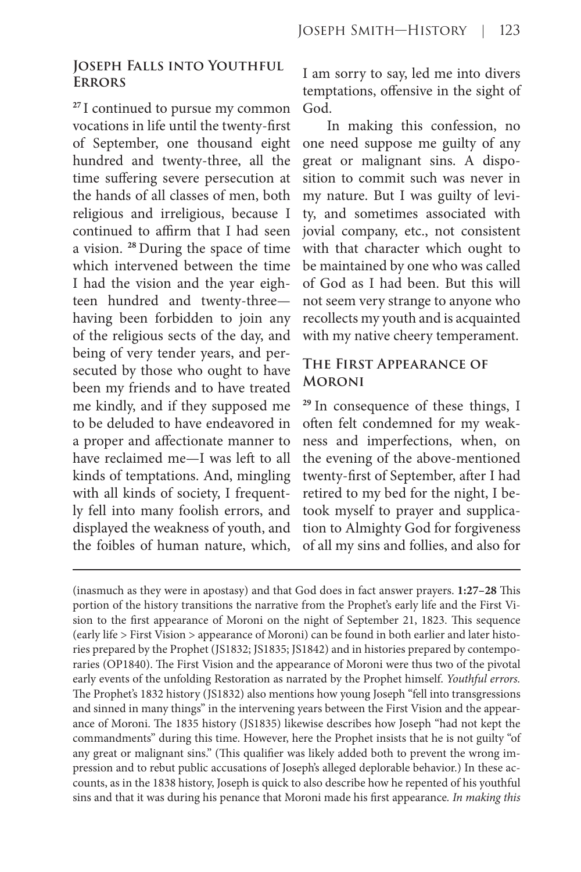#### **Joseph Falls into Youthful Errors**

**<sup>27</sup>**I continued to pursue my common vocations in life until the twenty-first of September, one thousand eight hundred and twenty-three, all the time suffering severe persecution at the hands of all classes of men, both religious and irreligious, because I continued to affirm that I had seen a vision. **<sup>28</sup>**During the space of time which intervened between the time I had the vision and the year eighteen hundred and twenty-three having been forbidden to join any of the religious sects of the day, and being of very tender years, and persecuted by those who ought to have been my friends and to have treated me kindly, and if they supposed me to be deluded to have endeavored in a proper and affectionate manner to have reclaimed me—I was left to all kinds of temptations. And, mingling with all kinds of society, I frequently fell into many foolish errors, and displayed the weakness of youth, and the foibles of human nature, which,

I am sorry to say, led me into divers temptations, offensive in the sight of God.

In making this confession, no one need suppose me guilty of any great or malignant sins. A disposition to commit such was never in my nature. But I was guilty of levity, and sometimes associated with jovial company, etc., not consistent with that character which ought to be maintained by one who was called of God as I had been. But this will not seem very strange to anyone who recollects my youth and is acquainted with my native cheery temperament.

# **The First Appearance of Moroni**

**<sup>29</sup>**In consequence of these things, I often felt condemned for my weakness and imperfections, when, on the evening of the above-mentioned twenty-first of September, after I had retired to my bed for the night, I betook myself to prayer and supplication to Almighty God for forgiveness of all my sins and follies, and also for

<sup>(</sup>inasmuch as they were in apostasy) and that God does in fact answer prayers. **1:27–28** This portion of the history transitions the narrative from the Prophet's early life and the First Vision to the first appearance of Moroni on the night of September 21, 1823. This sequence (early life > First Vision > appearance of Moroni) can be found in both earlier and later histories prepared by the Prophet (JS1832; JS1835; JS1842) and in histories prepared by contemporaries (OP1840). The First Vision and the appearance of Moroni were thus two of the pivotal early events of the unfolding Restoration as narrated by the Prophet himself. *Youthful errors.*  The Prophet's 1832 history (JS1832) also mentions how young Joseph "fell into transgressions and sinned in many things" in the intervening years between the First Vision and the appearance of Moroni. The 1835 history (JS1835) likewise describes how Joseph "had not kept the commandments" during this time. However, here the Prophet insists that he is not guilty "of any great or malignant sins." (This qualifier was likely added both to prevent the wrong impression and to rebut public accusations of Joseph's alleged deplorable behavior.) In these accounts, as in the 1838 history, Joseph is quick to also describe how he repented of his youthful sins and that it was during his penance that Moroni made his first appearance*. In making this*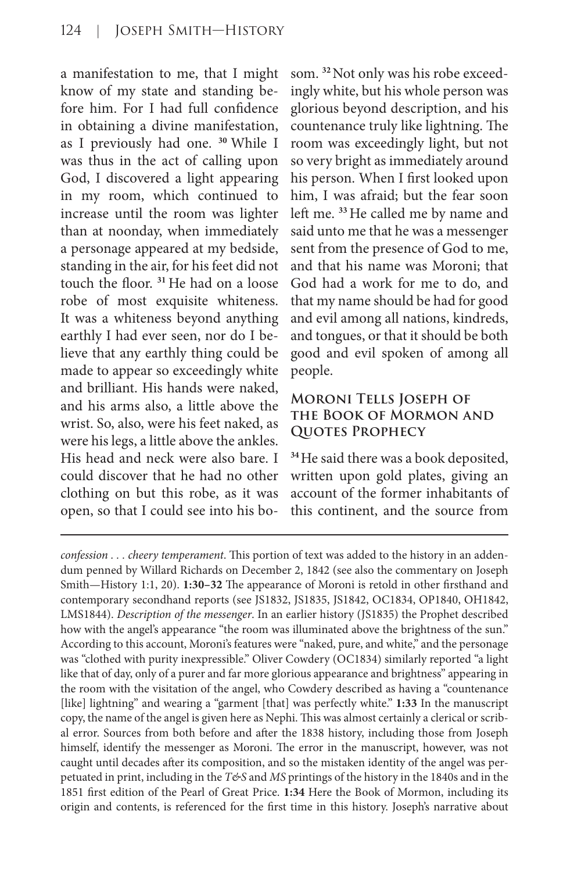a manifestation to me, that I might know of my state and standing before him. For I had full confidence in obtaining a divine manifestation, as I previously had one. **<sup>30</sup>**While I was thus in the act of calling upon God, I discovered a light appearing in my room, which continued to increase until the room was lighter than at noonday, when immediately a personage appeared at my bedside, standing in the air, for his feet did not touch the floor. **<sup>31</sup>**He had on a loose robe of most exquisite whiteness. It was a whiteness beyond anything earthly I had ever seen, nor do I believe that any earthly thing could be made to appear so exceedingly white and brilliant. His hands were naked, and his arms also, a little above the wrist. So, also, were his feet naked, as were his legs, a little above the ankles. His head and neck were also bare. I could discover that he had no other clothing on but this robe, as it was open, so that I could see into his bosom. **32** Not only was his robe exceedingly white, but his whole person was glorious beyond description, and his countenance truly like lightning. The room was exceedingly light, but not so very bright as immediately around his person. When I first looked upon him, I was afraid; but the fear soon left me. **<sup>33</sup>**He called me by name and said unto me that he was a messenger sent from the presence of God to me, and that his name was Moroni; that God had a work for me to do, and that my name should be had for good and evil among all nations, kindreds, and tongues, or that it should be both good and evil spoken of among all people.

#### **Moroni Tells Joseph of the Book of Mormon and Quotes Prophecy**

**<sup>34</sup>**He said there was a book deposited, written upon gold plates, giving an account of the former inhabitants of this continent, and the source from

*confession . . . cheery temperament*. This portion of text was added to the history in an addendum penned by Willard Richards on December 2, 1842 (see also the commentary on Joseph Smith—History 1:1, 20). **1:30–32** The appearance of Moroni is retold in other firsthand and contemporary secondhand reports (see JS1832, JS1835, JS1842, OC1834, OP1840, OH1842, LMS1844). *Description of the messenger*. In an earlier history (JS1835) the Prophet described how with the angel's appearance "the room was illuminated above the brightness of the sun." According to this account, Moroni's features were "naked, pure, and white," and the personage was "clothed with purity inexpressible." Oliver Cowdery (OC1834) similarly reported "a light like that of day, only of a purer and far more glorious appearance and brightness" appearing in the room with the visitation of the angel, who Cowdery described as having a "countenance [like] lightning" and wearing a "garment [that] was perfectly white." **1:33** In the manuscript copy, the name of the angel is given here as Nephi. This was almost certainly a clerical or scribal error. Sources from both before and after the 1838 history, including those from Joseph himself, identify the messenger as Moroni. The error in the manuscript, however, was not caught until decades after its composition, and so the mistaken identity of the angel was perpetuated in print, including in the *T&S* and *MS* printings of the history in the 1840s and in the 1851 first edition of the Pearl of Great Price. **1:34** Here the Book of Mormon, including its origin and contents, is referenced for the first time in this history. Joseph's narrative about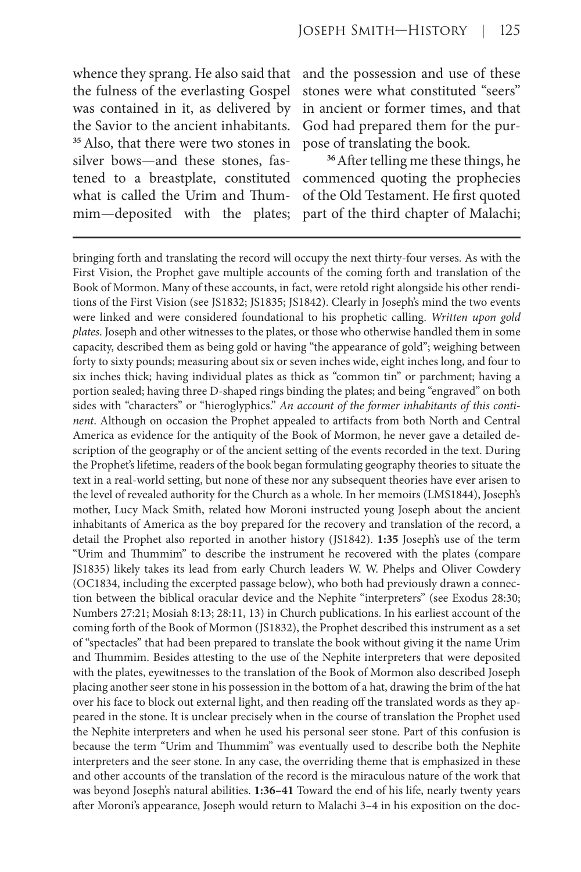whence they sprang. He also said that the fulness of the everlasting Gospel was contained in it, as delivered by the Savior to the ancient inhabitants. **<sup>35</sup>**Also, that there were two stones in silver bows—and these stones, fastened to a breastplate, constituted what is called the Urim and Thummim—deposited with the plates; and the possession and use of these stones were what constituted "seers" in ancient or former times, and that God had prepared them for the purpose of translating the book.

**<sup>36</sup>**After telling me these things, he commenced quoting the prophecies of the Old Testament. He first quoted part of the third chapter of Malachi;

bringing forth and translating the record will occupy the next thirty-four verses. As with the First Vision, the Prophet gave multiple accounts of the coming forth and translation of the Book of Mormon. Many of these accounts, in fact, were retold right alongside his other renditions of the First Vision (see JS1832; JS1835; JS1842). Clearly in Joseph's mind the two events were linked and were considered foundational to his prophetic calling. *Written upon gold plates*. Joseph and other witnesses to the plates, or those who otherwise handled them in some capacity, described them as being gold or having "the appearance of gold"; weighing between forty to sixty pounds; measuring about six or seven inches wide, eight inches long, and four to six inches thick; having individual plates as thick as "common tin" or parchment; having a portion sealed; having three D-shaped rings binding the plates; and being "engraved" on both sides with "characters" or "hieroglyphics." *An account of the former inhabitants of this continent*. Although on occasion the Prophet appealed to artifacts from both North and Central America as evidence for the antiquity of the Book of Mormon, he never gave a detailed description of the geography or of the ancient setting of the events recorded in the text. During the Prophet's lifetime, readers of the book began formulating geography theories to situate the text in a real-world setting, but none of these nor any subsequent theories have ever arisen to the level of revealed authority for the Church as a whole. In her memoirs (LMS1844), Joseph's mother, Lucy Mack Smith, related how Moroni instructed young Joseph about the ancient inhabitants of America as the boy prepared for the recovery and translation of the record, a detail the Prophet also reported in another history (JS1842). **1:35** Joseph's use of the term "Urim and Thummim" to describe the instrument he recovered with the plates (compare JS1835) likely takes its lead from early Church leaders W. W. Phelps and Oliver Cowdery (OC1834, including the excerpted passage below), who both had previously drawn a connection between the biblical oracular device and the Nephite "interpreters" (see Exodus 28:30; Numbers 27:21; Mosiah 8:13; 28:11, 13) in Church publications. In his earliest account of the coming forth of the Book of Mormon (JS1832), the Prophet described this instrument as a set of "spectacles" that had been prepared to translate the book without giving it the name Urim and Thummim. Besides attesting to the use of the Nephite interpreters that were deposited with the plates, eyewitnesses to the translation of the Book of Mormon also described Joseph placing another seer stone in his possession in the bottom of a hat, drawing the brim of the hat over his face to block out external light, and then reading off the translated words as they appeared in the stone. It is unclear precisely when in the course of translation the Prophet used the Nephite interpreters and when he used his personal seer stone. Part of this confusion is because the term "Urim and Thummim" was eventually used to describe both the Nephite interpreters and the seer stone. In any case, the overriding theme that is emphasized in these and other accounts of the translation of the record is the miraculous nature of the work that was beyond Joseph's natural abilities. **1:36–41** Toward the end of his life, nearly twenty years after Moroni's appearance, Joseph would return to Malachi 3–4 in his exposition on the doc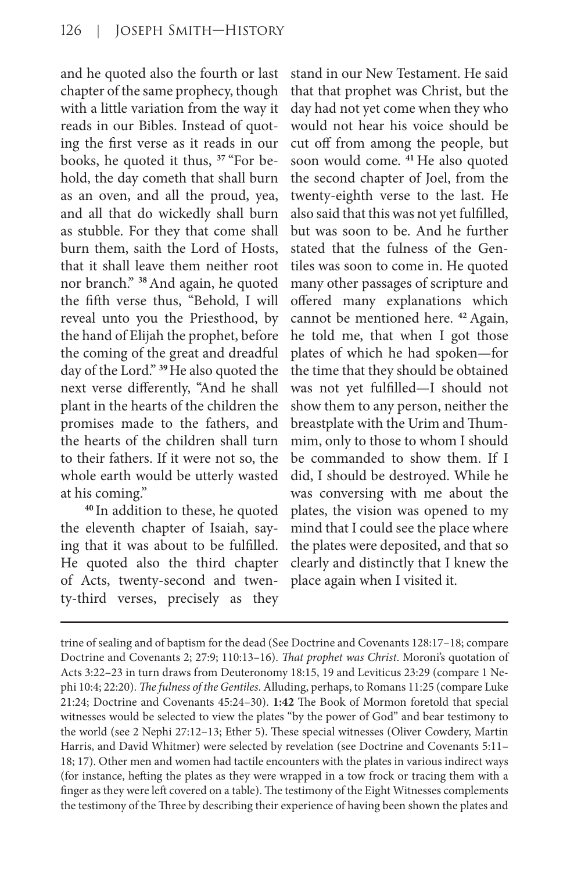and he quoted also the fourth or last chapter of the same prophecy, though with a little variation from the way it reads in our Bibles. Instead of quoting the first verse as it reads in our books, he quoted it thus, **37** "For behold, the day cometh that shall burn as an oven, and all the proud, yea, and all that do wickedly shall burn as stubble. For they that come shall burn them, saith the Lord of Hosts, that it shall leave them neither root nor branch." **<sup>38</sup>**And again, he quoted the fifth verse thus, "Behold, I will reveal unto you the Priesthood, by the hand of Elijah the prophet, before the coming of the great and dreadful day of the Lord." **<sup>39</sup>**He also quoted the next verse differently, "And he shall plant in the hearts of the children the promises made to the fathers, and the hearts of the children shall turn to their fathers. If it were not so, the whole earth would be utterly wasted at his coming."

**<sup>40</sup>**In addition to these, he quoted the eleventh chapter of Isaiah, saying that it was about to be fulfilled. He quoted also the third chapter of Acts, twenty-second and twenty-third verses, precisely as they stand in our New Testament. He said that that prophet was Christ, but the day had not yet come when they who would not hear his voice should be cut off from among the people, but soon would come. **<sup>41</sup>**He also quoted the second chapter of Joel, from the twenty-eighth verse to the last. He also said that this was not yet fulfilled, but was soon to be. And he further stated that the fulness of the Gentiles was soon to come in. He quoted many other passages of scripture and offered many explanations which cannot be mentioned here. **<sup>42</sup>**Again, he told me, that when I got those plates of which he had spoken—for the time that they should be obtained was not yet fulfilled—I should not show them to any person, neither the breastplate with the Urim and Thummim, only to those to whom I should be commanded to show them. If I did, I should be destroyed. While he was conversing with me about the plates, the vision was opened to my mind that I could see the place where the plates were deposited, and that so clearly and distinctly that I knew the place again when I visited it.

trine of sealing and of baptism for the dead (See Doctrine and Covenants 128:17–18; compare Doctrine and Covenants 2; 27:9; 110:13–16). *That prophet was Christ*. Moroni's quotation of Acts 3:22–23 in turn draws from Deuteronomy 18:15, 19 and Leviticus 23:29 (compare 1 Nephi 10:4; 22:20). *The fulness of the Gentiles*. Alluding, perhaps, to Romans 11:25 (compare Luke 21:24; Doctrine and Covenants 45:24–30). **1:42** The Book of Mormon foretold that special witnesses would be selected to view the plates "by the power of God" and bear testimony to the world (see 2 Nephi 27:12–13; Ether 5). These special witnesses (Oliver Cowdery, Martin Harris, and David Whitmer) were selected by revelation (see Doctrine and Covenants 5:11– 18; 17). Other men and women had tactile encounters with the plates in various indirect ways (for instance, hefting the plates as they were wrapped in a tow frock or tracing them with a finger as they were left covered on a table). The testimony of the Eight Witnesses complements the testimony of the Three by describing their experience of having been shown the plates and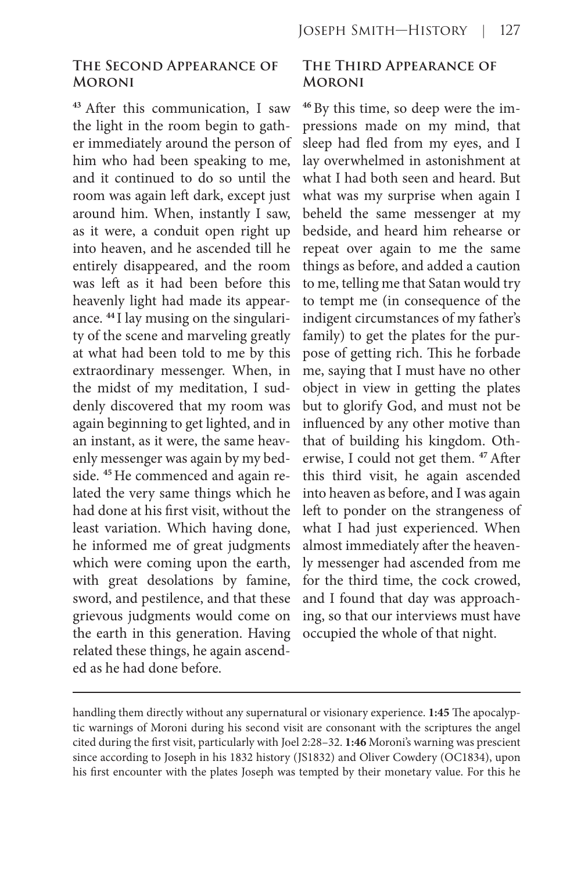#### **The Second Appearance of Moroni**

**<sup>43</sup>**After this communication, I saw the light in the room begin to gather immediately around the person of him who had been speaking to me, and it continued to do so until the room was again left dark, except just around him. When, instantly I saw, as it were, a conduit open right up into heaven, and he ascended till he entirely disappeared, and the room was left as it had been before this heavenly light had made its appearance. **44** I lay musing on the singularity of the scene and marveling greatly at what had been told to me by this extraordinary messenger. When, in the midst of my meditation, I suddenly discovered that my room was again beginning to get lighted, and in an instant, as it were, the same heavenly messenger was again by my bedside. **45** He commenced and again related the very same things which he had done at his first visit, without the least variation. Which having done, he informed me of great judgments which were coming upon the earth, with great desolations by famine, sword, and pestilence, and that these grievous judgments would come on the earth in this generation. Having related these things, he again ascended as he had done before.

## **The Third Appearance of Moroni**

**46** By this time, so deep were the impressions made on my mind, that sleep had fled from my eyes, and I lay overwhelmed in astonishment at what I had both seen and heard. But what was my surprise when again I beheld the same messenger at my bedside, and heard him rehearse or repeat over again to me the same things as before, and added a caution to me, telling me that Satan would try to tempt me (in consequence of the indigent circumstances of my father's family) to get the plates for the purpose of getting rich. This he forbade me, saying that I must have no other object in view in getting the plates but to glorify God, and must not be influenced by any other motive than that of building his kingdom. Otherwise, I could not get them. **<sup>47</sup>**After this third visit, he again ascended into heaven as before, and I was again left to ponder on the strangeness of what I had just experienced. When almost immediately after the heavenly messenger had ascended from me for the third time, the cock crowed, and I found that day was approaching, so that our interviews must have occupied the whole of that night.

handling them directly without any supernatural or visionary experience. **1:45** The apocalyptic warnings of Moroni during his second visit are consonant with the scriptures the angel cited during the first visit, particularly with Joel 2:28–32. **1:46** Moroni's warning was prescient since according to Joseph in his 1832 history (JS1832) and Oliver Cowdery (OC1834), upon his first encounter with the plates Joseph was tempted by their monetary value. For this he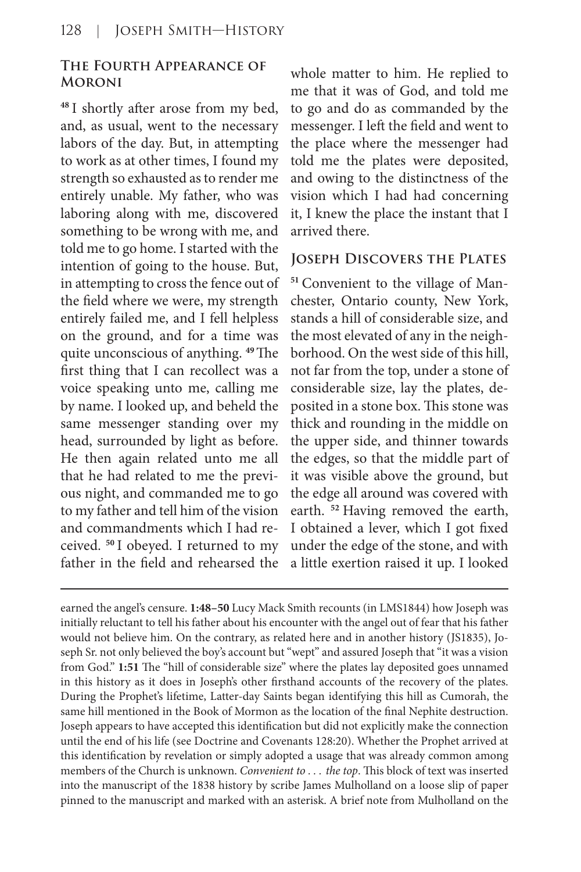## **The Fourth Appearance of Moroni**

**<sup>48</sup>**I shortly after arose from my bed, and, as usual, went to the necessary labors of the day. But, in attempting to work as at other times, I found my strength so exhausted as to render me entirely unable. My father, who was laboring along with me, discovered something to be wrong with me, and told me to go home. I started with the intention of going to the house. But, in attempting to cross the fence out of the field where we were, my strength entirely failed me, and I fell helpless on the ground, and for a time was quite unconscious of anything. **<sup>49</sup>**The first thing that I can recollect was a voice speaking unto me, calling me by name. I looked up, and beheld the same messenger standing over my head, surrounded by light as before. He then again related unto me all that he had related to me the previous night, and commanded me to go to my father and tell him of the vision and commandments which I had received. **<sup>50</sup>**I obeyed. I returned to my father in the field and rehearsed the whole matter to him. He replied to me that it was of God, and told me to go and do as commanded by the messenger. I left the field and went to the place where the messenger had told me the plates were deposited, and owing to the distinctness of the vision which I had had concerning it, I knew the place the instant that I arrived there.

#### **Joseph Discovers the Plates**

**51** Convenient to the village of Manchester, Ontario county, New York, stands a hill of considerable size, and the most elevated of any in the neighborhood. On the west side of this hill, not far from the top, under a stone of considerable size, lay the plates, deposited in a stone box. This stone was thick and rounding in the middle on the upper side, and thinner towards the edges, so that the middle part of it was visible above the ground, but the edge all around was covered with earth. **<sup>52</sup>**Having removed the earth, I obtained a lever, which I got fixed under the edge of the stone, and with a little exertion raised it up. I looked

earned the angel's censure. **1:48–50** Lucy Mack Smith recounts (in LMS1844) how Joseph was initially reluctant to tell his father about his encounter with the angel out of fear that his father would not believe him. On the contrary, as related here and in another history (JS1835), Joseph Sr. not only believed the boy's account but "wept" and assured Joseph that "it was a vision from God." **1:51** The "hill of considerable size" where the plates lay deposited goes unnamed in this history as it does in Joseph's other firsthand accounts of the recovery of the plates. During the Prophet's lifetime, Latter-day Saints began identifying this hill as Cumorah, the same hill mentioned in the Book of Mormon as the location of the final Nephite destruction. Joseph appears to have accepted this identification but did not explicitly make the connection until the end of his life (see Doctrine and Covenants 128:20). Whether the Prophet arrived at this identification by revelation or simply adopted a usage that was already common among members of the Church is unknown. *Convenient to . . . the top*. This block of text was inserted into the manuscript of the 1838 history by scribe James Mulholland on a loose slip of paper pinned to the manuscript and marked with an asterisk. A brief note from Mulholland on the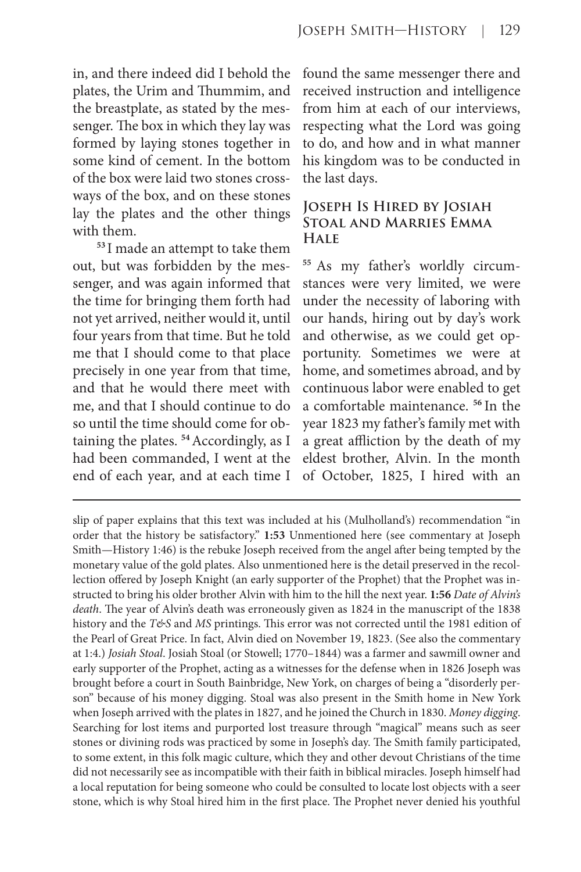in, and there indeed did I behold the plates, the Urim and Thummim, and the breastplate, as stated by the messenger. The box in which they lay was formed by laying stones together in some kind of cement. In the bottom of the box were laid two stones crossways of the box, and on these stones lay the plates and the other things with them.

**<sup>53</sup>**I made an attempt to take them out, but was forbidden by the messenger, and was again informed that the time for bringing them forth had not yet arrived, neither would it, until four years from that time. But he told me that I should come to that place precisely in one year from that time, and that he would there meet with me, and that I should continue to do so until the time should come for obtaining the plates. **<sup>54</sup>**Accordingly, as I had been commanded, I went at the end of each year, and at each time I

found the same messenger there and received instruction and intelligence from him at each of our interviews, respecting what the Lord was going to do, and how and in what manner his kingdom was to be conducted in the last days.

#### **Joseph Is Hired by Josiah Stoal and Marries Emma Hale**

**<sup>55</sup>** As my father's worldly circumstances were very limited, we were under the necessity of laboring with our hands, hiring out by day's work and otherwise, as we could get opportunity. Sometimes we were at home, and sometimes abroad, and by continuous labor were enabled to get a comfortable maintenance. **<sup>56</sup>**In the year 1823 my father's family met with a great affliction by the death of my eldest brother, Alvin. In the month of October, 1825, I hired with an

slip of paper explains that this text was included at his (Mulholland's) recommendation "in order that the history be satisfactory." **1:53** Unmentioned here (see commentary at Joseph Smith—History 1:46) is the rebuke Joseph received from the angel after being tempted by the monetary value of the gold plates. Also unmentioned here is the detail preserved in the recollection offered by Joseph Knight (an early supporter of the Prophet) that the Prophet was instructed to bring his older brother Alvin with him to the hill the next year. **1:56** *Date of Alvin's death*. The year of Alvin's death was erroneously given as 1824 in the manuscript of the 1838 history and the *T&S* and *MS* printings. This error was not corrected until the 1981 edition of the Pearl of Great Price. In fact, Alvin died on November 19, 1823. (See also the commentary at 1:4.) *Josiah Stoal*. Josiah Stoal (or Stowell; 1770–1844) was a farmer and sawmill owner and early supporter of the Prophet, acting as a witnesses for the defense when in 1826 Joseph was brought before a court in South Bainbridge, New York, on charges of being a "disorderly person" because of his money digging. Stoal was also present in the Smith home in New York when Joseph arrived with the plates in 1827, and he joined the Church in 1830. *Money digging*. Searching for lost items and purported lost treasure through "magical" means such as seer stones or divining rods was practiced by some in Joseph's day. The Smith family participated, to some extent, in this folk magic culture, which they and other devout Christians of the time did not necessarily see as incompatible with their faith in biblical miracles. Joseph himself had a local reputation for being someone who could be consulted to locate lost objects with a seer stone, which is why Stoal hired him in the first place. The Prophet never denied his youthful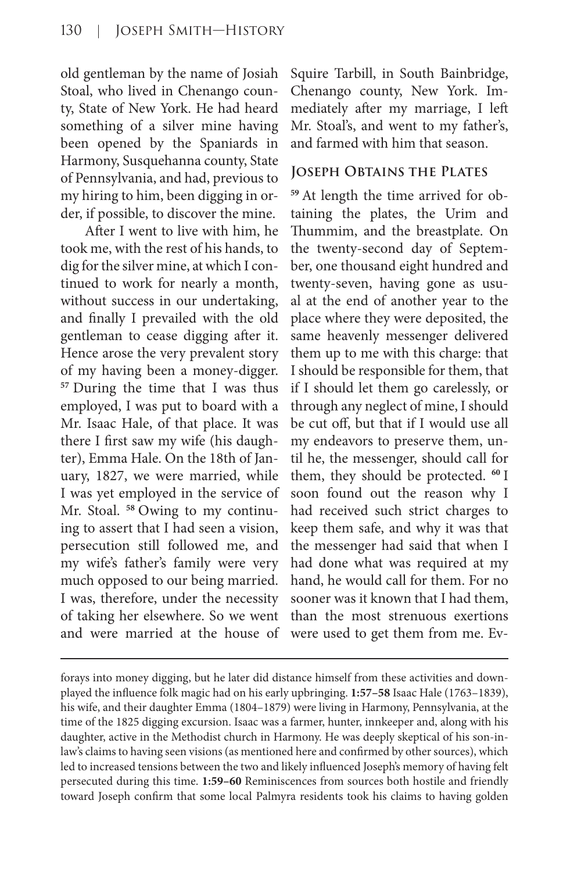old gentleman by the name of Josiah Stoal, who lived in Chenango county, State of New York. He had heard something of a silver mine having been opened by the Spaniards in Harmony, Susquehanna county, State of Pennsylvania, and had, previous to my hiring to him, been digging in order, if possible, to discover the mine.

After I went to live with him, he took me, with the rest of his hands, to dig for the silver mine, at which I continued to work for nearly a month, without success in our undertaking, and finally I prevailed with the old gentleman to cease digging after it. Hence arose the very prevalent story of my having been a money-digger. **<sup>57</sup>**During the time that I was thus employed, I was put to board with a Mr. Isaac Hale, of that place. It was there I first saw my wife (his daughter), Emma Hale. On the 18th of January, 1827, we were married, while I was yet employed in the service of Mr. Stoal. **58** Owing to my continuing to assert that I had seen a vision, persecution still followed me, and my wife's father's family were very much opposed to our being married. I was, therefore, under the necessity of taking her elsewhere. So we went and were married at the house of Squire Tarbill, in South Bainbridge, Chenango county, New York. Immediately after my marriage, I left Mr. Stoal's, and went to my father's, and farmed with him that season.

#### **Joseph Obtains the Plates**

**59** At length the time arrived for obtaining the plates, the Urim and Thummim, and the breastplate. On the twenty-second day of September, one thousand eight hundred and twenty-seven, having gone as usual at the end of another year to the place where they were deposited, the same heavenly messenger delivered them up to me with this charge: that I should be responsible for them, that if I should let them go carelessly, or through any neglect of mine, I should be cut off, but that if I would use all my endeavors to preserve them, until he, the messenger, should call for them, they should be protected. **<sup>60</sup>**I soon found out the reason why I had received such strict charges to keep them safe, and why it was that the messenger had said that when I had done what was required at my hand, he would call for them. For no sooner was it known that I had them, than the most strenuous exertions were used to get them from me. Ev-

forays into money digging, but he later did distance himself from these activities and downplayed the influence folk magic had on his early upbringing. **1:57–58** Isaac Hale (1763–1839), his wife, and their daughter Emma (1804–1879) were living in Harmony, Pennsylvania, at the time of the 1825 digging excursion. Isaac was a farmer, hunter, innkeeper and, along with his daughter, active in the Methodist church in Harmony. He was deeply skeptical of his son-inlaw's claims to having seen visions (as mentioned here and confirmed by other sources), which led to increased tensions between the two and likely influenced Joseph's memory of having felt persecuted during this time. **1:59–60** Reminiscences from sources both hostile and friendly toward Joseph confirm that some local Palmyra residents took his claims to having golden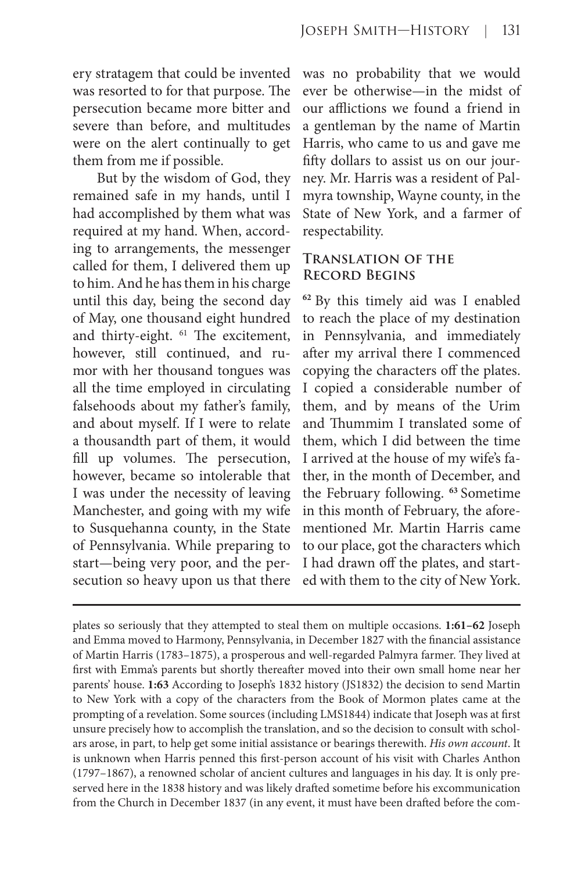ery stratagem that could be invented was resorted to for that purpose. The persecution became more bitter and severe than before, and multitudes were on the alert continually to get them from me if possible.

But by the wisdom of God, they remained safe in my hands, until I had accomplished by them what was required at my hand. When, according to arrangements, the messenger called for them, I delivered them up to him. And he has them in his charge until this day, being the second day of May, one thousand eight hundred and thirty-eight. <sup>61</sup> The excitement, however, still continued, and rumor with her thousand tongues was all the time employed in circulating falsehoods about my father's family, and about myself. If I were to relate a thousandth part of them, it would fill up volumes. The persecution, however, became so intolerable that I was under the necessity of leaving Manchester, and going with my wife to Susquehanna county, in the State of Pennsylvania. While preparing to start—being very poor, and the persecution so heavy upon us that there

was no probability that we would ever be otherwise—in the midst of our afflictions we found a friend in a gentleman by the name of Martin Harris, who came to us and gave me fifty dollars to assist us on our journey. Mr. Harris was a resident of Palmyra township, Wayne county, in the State of New York, and a farmer of respectability.

## **Translation of the Record Begins**

**<sup>62</sup>**By this timely aid was I enabled to reach the place of my destination in Pennsylvania, and immediately after my arrival there I commenced copying the characters off the plates. I copied a considerable number of them, and by means of the Urim and Thummim I translated some of them, which I did between the time I arrived at the house of my wife's father, in the month of December, and the February following. **<sup>63</sup>**Sometime in this month of February, the aforementioned Mr. Martin Harris came to our place, got the characters which I had drawn off the plates, and started with them to the city of New York.

plates so seriously that they attempted to steal them on multiple occasions. **1:61–62** Joseph and Emma moved to Harmony, Pennsylvania, in December 1827 with the financial assistance of Martin Harris (1783–1875), a prosperous and well-regarded Palmyra farmer. They lived at first with Emma's parents but shortly thereafter moved into their own small home near her parents' house. **1:63** According to Joseph's 1832 history (JS1832) the decision to send Martin to New York with a copy of the characters from the Book of Mormon plates came at the prompting of a revelation. Some sources (including LMS1844) indicate that Joseph was at first unsure precisely how to accomplish the translation, and so the decision to consult with scholars arose, in part, to help get some initial assistance or bearings therewith. *His own account*. It is unknown when Harris penned this first-person account of his visit with Charles Anthon (1797–1867), a renowned scholar of ancient cultures and languages in his day. It is only preserved here in the 1838 history and was likely drafted sometime before his excommunication from the Church in December 1837 (in any event, it must have been drafted before the com-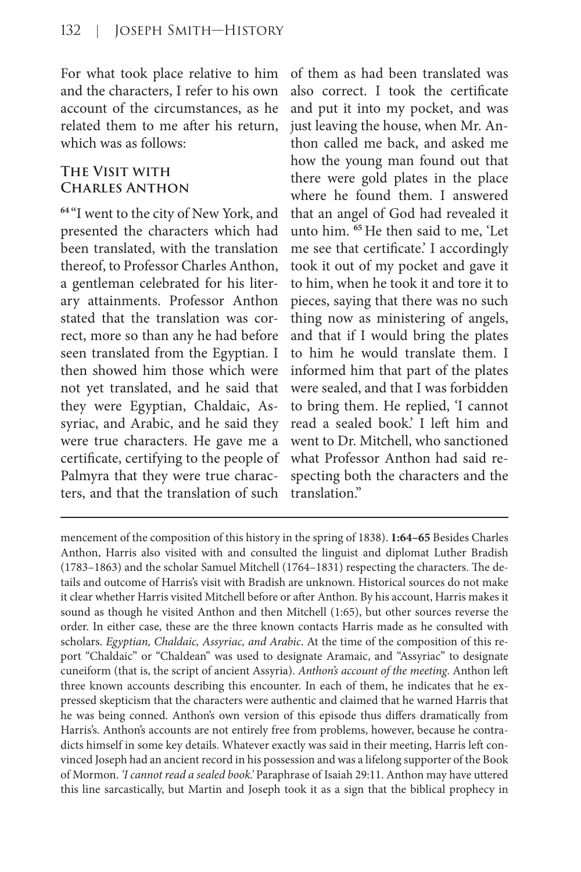For what took place relative to him and the characters, I refer to his own account of the circumstances, as he related them to me after his return, which was as follows:

## **The Visit with Charles Anthon**

**<sup>64</sup>**"I went to the city of New York, and presented the characters which had been translated, with the translation thereof, to Professor Charles Anthon, a gentleman celebrated for his literary attainments. Professor Anthon stated that the translation was correct, more so than any he had before seen translated from the Egyptian. I then showed him those which were not yet translated, and he said that they were Egyptian, Chaldaic, Assyriac, and Arabic, and he said they were true characters. He gave me a certificate, certifying to the people of Palmyra that they were true characters, and that the translation of such of them as had been translated was also correct. I took the certificate and put it into my pocket, and was just leaving the house, when Mr. Anthon called me back, and asked me how the young man found out that there were gold plates in the place where he found them. I answered that an angel of God had revealed it unto him. **<sup>65</sup>**He then said to me, 'Let me see that certificate.' I accordingly took it out of my pocket and gave it to him, when he took it and tore it to pieces, saying that there was no such thing now as ministering of angels, and that if I would bring the plates to him he would translate them. I informed him that part of the plates were sealed, and that I was forbidden to bring them. He replied, 'I cannot read a sealed book.' I left him and went to Dr. Mitchell, who sanctioned what Professor Anthon had said respecting both the characters and the translation."

mencement of the composition of this history in the spring of 1838). **1:64–65** Besides Charles Anthon, Harris also visited with and consulted the linguist and diplomat Luther Bradish (1783–1863) and the scholar Samuel Mitchell (1764–1831) respecting the characters. The details and outcome of Harris's visit with Bradish are unknown. Historical sources do not make it clear whether Harris visited Mitchell before or after Anthon. By his account, Harris makes it sound as though he visited Anthon and then Mitchell (1:65), but other sources reverse the order. In either case, these are the three known contacts Harris made as he consulted with scholars. *Egyptian, Chaldaic, Assyriac, and Arabic*. At the time of the composition of this report "Chaldaic" or "Chaldean" was used to designate Aramaic, and "Assyriac" to designate cuneiform (that is, the script of ancient Assyria). *Anthon's account of the meeting*. Anthon left three known accounts describing this encounter. In each of them, he indicates that he expressed skepticism that the characters were authentic and claimed that he warned Harris that he was being conned. Anthon's own version of this episode thus differs dramatically from Harris's. Anthon's accounts are not entirely free from problems, however, because he contradicts himself in some key details. Whatever exactly was said in their meeting, Harris left convinced Joseph had an ancient record in his possession and was a lifelong supporter of the Book of Mormon. *'I cannot read a sealed book.'* Paraphrase of Isaiah 29:11. Anthon may have uttered this line sarcastically, but Martin and Joseph took it as a sign that the biblical prophecy in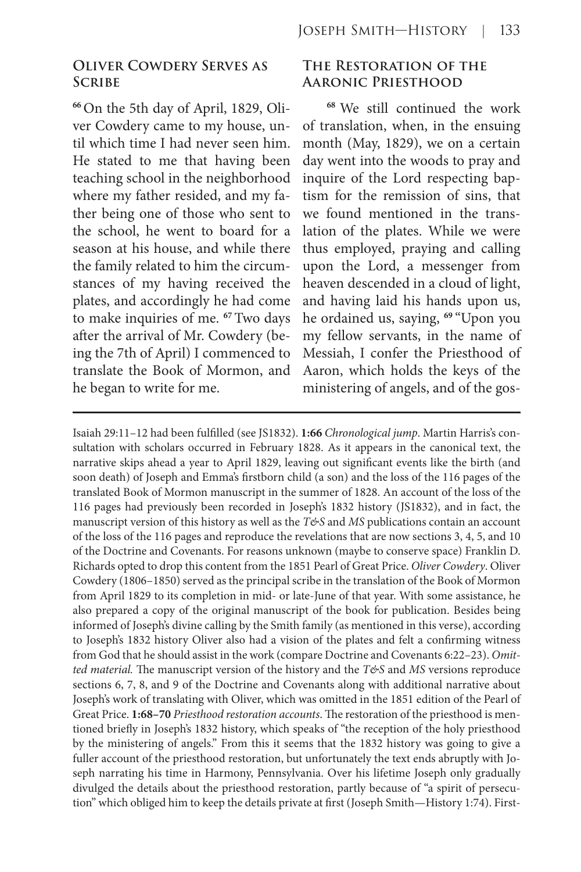## **Oliver Cowdery Serves as Scribe**

**66** On the 5th day of April, 1829, Oliver Cowdery came to my house, until which time I had never seen him. He stated to me that having been teaching school in the neighborhood where my father resided, and my father being one of those who sent to the school, he went to board for a season at his house, and while there the family related to him the circumstances of my having received the plates, and accordingly he had come to make inquiries of me. **<sup>67</sup>**Two days after the arrival of Mr. Cowdery (being the 7th of April) I commenced to translate the Book of Mormon, and he began to write for me.

#### **The Restoration of the Aaronic Priesthood**

**<sup>68</sup>** We still continued the work of translation, when, in the ensuing month (May, 1829), we on a certain day went into the woods to pray and inquire of the Lord respecting baptism for the remission of sins, that we found mentioned in the translation of the plates. While we were thus employed, praying and calling upon the Lord, a messenger from heaven descended in a cloud of light, and having laid his hands upon us, he ordained us, saying, **<sup>69</sup>**"Upon you my fellow servants, in the name of Messiah, I confer the Priesthood of Aaron, which holds the keys of the ministering of angels, and of the gos-

Isaiah 29:11–12 had been fulfilled (see JS1832). **1:66** *Chronological jump*. Martin Harris's consultation with scholars occurred in February 1828. As it appears in the canonical text, the narrative skips ahead a year to April 1829, leaving out significant events like the birth (and soon death) of Joseph and Emma's firstborn child (a son) and the loss of the 116 pages of the translated Book of Mormon manuscript in the summer of 1828. An account of the loss of the 116 pages had previously been recorded in Joseph's 1832 history (JS1832), and in fact, the manuscript version of this history as well as the  $T\&$ S and *MS* publications contain an account of the loss of the 116 pages and reproduce the revelations that are now sections 3, 4, 5, and 10 of the Doctrine and Covenants. For reasons unknown (maybe to conserve space) Franklin D. Richards opted to drop this content from the 1851 Pearl of Great Price. *Oliver Cowdery*. Oliver Cowdery (1806–1850) served as the principal scribe in the translation of the Book of Mormon from April 1829 to its completion in mid- or late-June of that year. With some assistance, he also prepared a copy of the original manuscript of the book for publication. Besides being informed of Joseph's divine calling by the Smith family (as mentioned in this verse), according to Joseph's 1832 history Oliver also had a vision of the plates and felt a confirming witness from God that he should assist in the work (compare Doctrine and Covenants 6:22–23). *Omit*ted material. The manuscript version of the history and the *T&S* and *MS* versions reproduce sections 6, 7, 8, and 9 of the Doctrine and Covenants along with additional narrative about Joseph's work of translating with Oliver, which was omitted in the 1851 edition of the Pearl of Great Price. **1:68–70** *Priesthood restoration accounts*. The restoration of the priesthood is mentioned briefly in Joseph's 1832 history, which speaks of "the reception of the holy priesthood by the ministering of angels." From this it seems that the 1832 history was going to give a fuller account of the priesthood restoration, but unfortunately the text ends abruptly with Joseph narrating his time in Harmony, Pennsylvania. Over his lifetime Joseph only gradually divulged the details about the priesthood restoration, partly because of "a spirit of persecution" which obliged him to keep the details private at first (Joseph Smith—History 1:74). First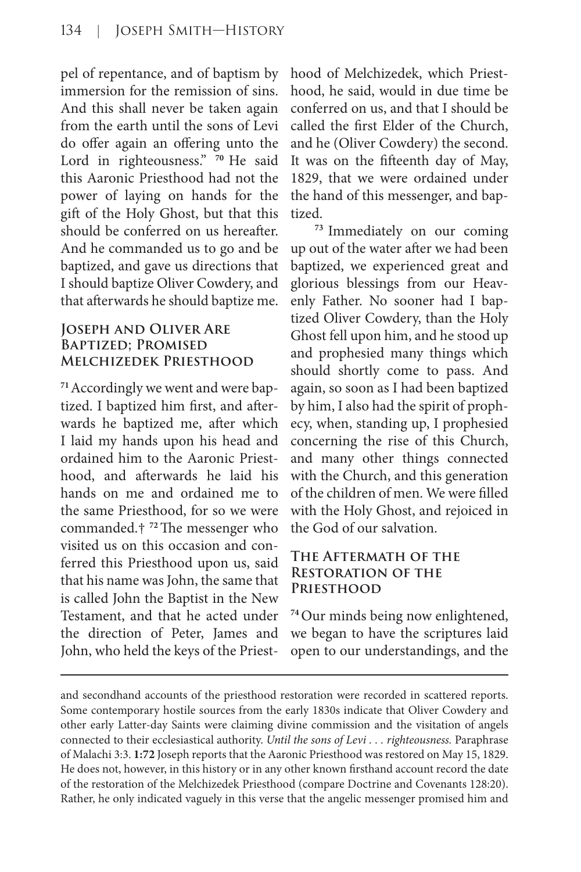pel of repentance, and of baptism by immersion for the remission of sins. And this shall never be taken again from the earth until the sons of Levi do offer again an offering unto the Lord in righteousness." **<sup>70</sup>** He said this Aaronic Priesthood had not the power of laying on hands for the gift of the Holy Ghost, but that this should be conferred on us hereafter. And he commanded us to go and be baptized, and gave us directions that I should baptize Oliver Cowdery, and that afterwards he should baptize me.

## **Joseph and Oliver Are Baptized; Promised Melchizedek Priesthood**

**71** Accordingly we went and were baptized. I baptized him first, and afterwards he baptized me, after which I laid my hands upon his head and ordained him to the Aaronic Priesthood, and afterwards he laid his hands on me and ordained me to the same Priesthood, for so we were commanded.† **<sup>72</sup>**The messenger who visited us on this occasion and conferred this Priesthood upon us, said that his name was John, the same that is called John the Baptist in the New Testament, and that he acted under the direction of Peter, James and John, who held the keys of the Priesthood of Melchizedek, which Priesthood, he said, would in due time be conferred on us, and that I should be called the first Elder of the Church, and he (Oliver Cowdery) the second. It was on the fifteenth day of May, 1829, that we were ordained under the hand of this messenger, and baptized.

**<sup>73</sup>** Immediately on our coming up out of the water after we had been baptized, we experienced great and glorious blessings from our Heavenly Father. No sooner had I baptized Oliver Cowdery, than the Holy Ghost fell upon him, and he stood up and prophesied many things which should shortly come to pass. And again, so soon as I had been baptized by him, I also had the spirit of prophecy, when, standing up, I prophesied concerning the rise of this Church, and many other things connected with the Church, and this generation of the children of men. We were filled with the Holy Ghost, and rejoiced in the God of our salvation.

## **The Aftermath of the Restoration of the Priesthood**

**<sup>74</sup>**Our minds being now enlightened, we began to have the scriptures laid open to our understandings, and the

and secondhand accounts of the priesthood restoration were recorded in scattered reports. Some contemporary hostile sources from the early 1830s indicate that Oliver Cowdery and other early Latter-day Saints were claiming divine commission and the visitation of angels connected to their ecclesiastical authority. *Until the sons of Levi . . . righteousness.* Paraphrase of Malachi 3:3. **1:72** Joseph reports that the Aaronic Priesthood was restored on May 15, 1829. He does not, however, in this history or in any other known firsthand account record the date of the restoration of the Melchizedek Priesthood (compare Doctrine and Covenants 128:20). Rather, he only indicated vaguely in this verse that the angelic messenger promised him and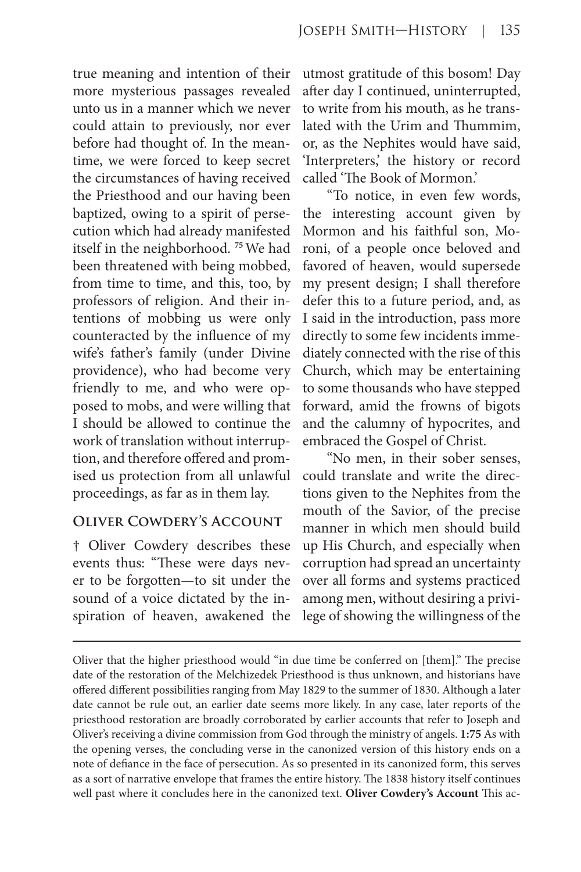true meaning and intention of their more mysterious passages revealed unto us in a manner which we never could attain to previously, nor ever before had thought of. In the meantime, we were forced to keep secret the circumstances of having received the Priesthood and our having been baptized, owing to a spirit of persecution which had already manifested itself in the neighborhood. **<sup>75</sup>**We had been threatened with being mobbed, from time to time, and this, too, by professors of religion. And their intentions of mobbing us were only counteracted by the influence of my wife's father's family (under Divine providence), who had become very friendly to me, and who were opposed to mobs, and were willing that I should be allowed to continue the work of translation without interruption, and therefore offered and promised us protection from all unlawful proceedings, as far as in them lay.

## **Oliver Cowdery's Account**

† Oliver Cowdery describes these events thus: "These were days never to be forgotten—to sit under the sound of a voice dictated by the inspiration of heaven, awakened the utmost gratitude of this bosom! Day after day I continued, uninterrupted, to write from his mouth, as he translated with the Urim and Thummim, or, as the Nephites would have said, 'Interpreters,' the history or record called 'The Book of Mormon.'

"To notice, in even few words, the interesting account given by Mormon and his faithful son, Moroni, of a people once beloved and favored of heaven, would supersede my present design; I shall therefore defer this to a future period, and, as I said in the introduction, pass more directly to some few incidents immediately connected with the rise of this Church, which may be entertaining to some thousands who have stepped forward, amid the frowns of bigots and the calumny of hypocrites, and embraced the Gospel of Christ.

"No men, in their sober senses, could translate and write the directions given to the Nephites from the mouth of the Savior, of the precise manner in which men should build up His Church, and especially when corruption had spread an uncertainty over all forms and systems practiced among men, without desiring a privilege of showing the willingness of the

Oliver that the higher priesthood would "in due time be conferred on [them]." The precise date of the restoration of the Melchizedek Priesthood is thus unknown, and historians have offered different possibilities ranging from May 1829 to the summer of 1830. Although a later date cannot be rule out, an earlier date seems more likely. In any case, later reports of the priesthood restoration are broadly corroborated by earlier accounts that refer to Joseph and Oliver's receiving a divine commission from God through the ministry of angels. **1:75** As with the opening verses, the concluding verse in the canonized version of this history ends on a note of defiance in the face of persecution. As so presented in its canonized form, this serves as a sort of narrative envelope that frames the entire history. The 1838 history itself continues well past where it concludes here in the canonized text. **Oliver Cowdery's Account** This ac-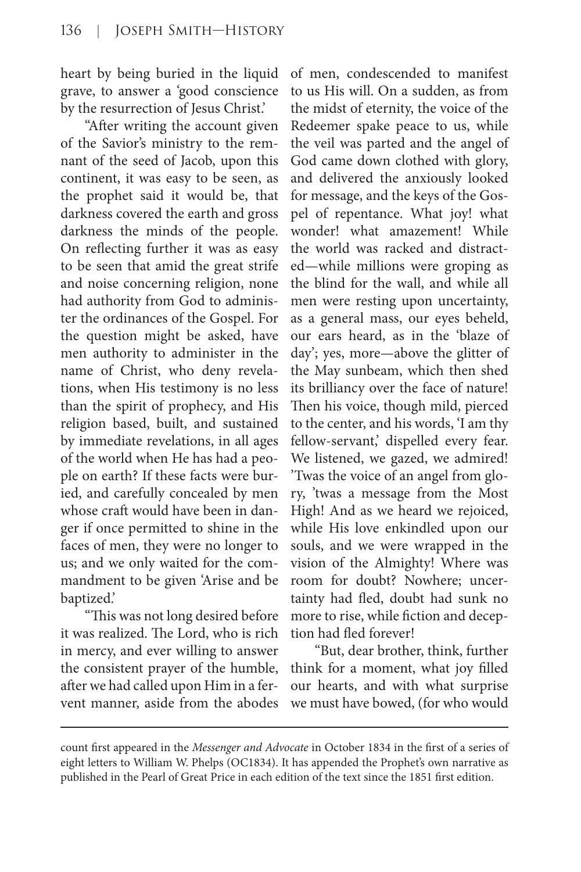heart by being buried in the liquid grave, to answer a 'good conscience by the resurrection of Jesus Christ.'

"After writing the account given of the Savior's ministry to the remnant of the seed of Jacob, upon this continent, it was easy to be seen, as the prophet said it would be, that darkness covered the earth and gross darkness the minds of the people. On reflecting further it was as easy to be seen that amid the great strife and noise concerning religion, none had authority from God to administer the ordinances of the Gospel. For the question might be asked, have men authority to administer in the name of Christ, who deny revelations, when His testimony is no less than the spirit of prophecy, and His religion based, built, and sustained by immediate revelations, in all ages of the world when He has had a people on earth? If these facts were buried, and carefully concealed by men whose craft would have been in danger if once permitted to shine in the faces of men, they were no longer to us; and we only waited for the commandment to be given 'Arise and be baptized.'

"This was not long desired before it was realized. The Lord, who is rich in mercy, and ever willing to answer the consistent prayer of the humble, after we had called upon Him in a fervent manner, aside from the abodes of men, condescended to manifest to us His will. On a sudden, as from the midst of eternity, the voice of the Redeemer spake peace to us, while the veil was parted and the angel of God came down clothed with glory, and delivered the anxiously looked for message, and the keys of the Gospel of repentance. What joy! what wonder! what amazement! While the world was racked and distracted—while millions were groping as the blind for the wall, and while all men were resting upon uncertainty, as a general mass, our eyes beheld, our ears heard, as in the 'blaze of day'; yes, more—above the glitter of the May sunbeam, which then shed its brilliancy over the face of nature! Then his voice, though mild, pierced to the center, and his words, 'I am thy fellow-servant,' dispelled every fear. We listened, we gazed, we admired! 'Twas the voice of an angel from glory, 'twas a message from the Most High! And as we heard we rejoiced, while His love enkindled upon our souls, and we were wrapped in the vision of the Almighty! Where was room for doubt? Nowhere; uncertainty had fled, doubt had sunk no more to rise, while fiction and deception had fled forever!

"But, dear brother, think, further think for a moment, what joy filled our hearts, and with what surprise we must have bowed, (for who would

count first appeared in the *Messenger and Advocate* in October 1834 in the first of a series of eight letters to William W. Phelps (OC1834). It has appended the Prophet's own narrative as published in the Pearl of Great Price in each edition of the text since the 1851 first edition.